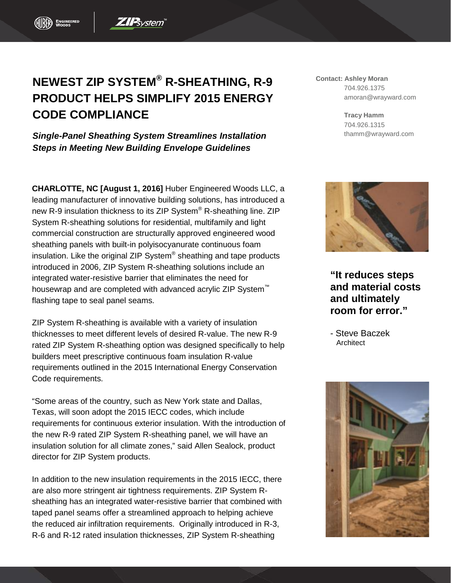## **NEWEST ZIP SYSTEM® R-SHEATHING, R-9 PRODUCT HELPS SIMPLIFY 2015 ENERGY CODE COMPLIANCE**

**ZIP**system

*Single-Panel Sheathing System Streamlines Installation Steps in Meeting New Building Envelope Guidelines*

**CHARLOTTE, NC [August 1, 2016]** Huber Engineered Woods LLC, a leading manufacturer of innovative building solutions, has introduced a new R-9 insulation thickness to its ZIP System® R-sheathing line. ZIP System R-sheathing solutions for residential, multifamily and light commercial construction are structurally approved engineered wood sheathing panels with built-in polyisocyanurate continuous foam insulation. Like the original ZIP System® sheathing and tape products introduced in 2006, ZIP System R-sheathing solutions include an integrated water-resistive barrier that eliminates the need for housewrap and are completed with advanced acrylic ZIP System<sup>™</sup> flashing tape to seal panel seams.

ZIP System R-sheathing is available with a variety of insulation thicknesses to meet different levels of desired R-value. The new R-9 rated ZIP System R-sheathing option was designed specifically to help builders meet prescriptive continuous foam insulation R-value requirements outlined in the 2015 International Energy Conservation Code requirements.

"Some areas of the country, such as New York state and Dallas, Texas, will soon adopt the 2015 IECC codes, which include requirements for continuous exterior insulation. With the introduction of the new R-9 rated ZIP System R-sheathing panel, we will have an insulation solution for all climate zones," said Allen Sealock, product director for ZIP System products.

In addition to the new insulation requirements in the 2015 IECC, there are also more stringent air tightness requirements. ZIP System Rsheathing has an integrated water-resistive barrier that combined with taped panel seams offer a streamlined approach to helping achieve the reduced air infiltration requirements. Originally introduced in R-3, R-6 and R-12 rated insulation thicknesses, ZIP System R-sheathing

**Contact: Ashley Moran** 704.926.1375 amoran@wrayward.com

> **Tracy Hamm** 704.926.1315 thamm@wrayward.com



**"It reduces steps and material costs and ultimately room for error."**

- Steve Baczek **Architect**